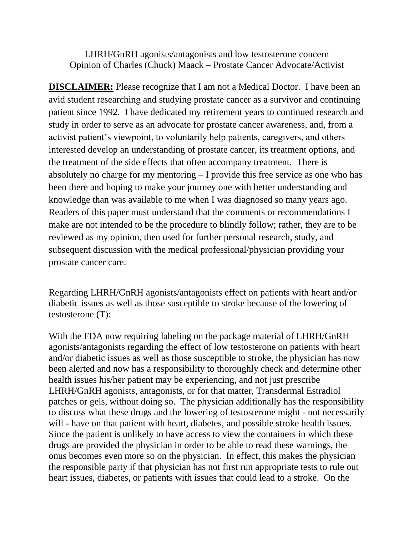LHRH/GnRH agonists/antagonists and low testosterone concern Opinion of Charles (Chuck) Maack – Prostate Cancer Advocate/Activist

**DISCLAIMER:** Please recognize that I am not a Medical Doctor. I have been an avid student researching and studying prostate cancer as a survivor and continuing patient since 1992. I have dedicated my retirement years to continued research and study in order to serve as an advocate for prostate cancer awareness, and, from a activist patient's viewpoint, to voluntarily help patients, caregivers, and others interested develop an understanding of prostate cancer, its treatment options, and the treatment of the side effects that often accompany treatment. There is absolutely no charge for my mentoring – I provide this free service as one who has been there and hoping to make your journey one with better understanding and knowledge than was available to me when I was diagnosed so many years ago. Readers of this paper must understand that the comments or recommendations I make are not intended to be the procedure to blindly follow; rather, they are to be reviewed as my opinion, then used for further personal research, study, and subsequent discussion with the medical professional/physician providing your prostate cancer care.

Regarding LHRH/GnRH agonists/antagonists effect on patients with heart and/or diabetic issues as well as those susceptible to stroke because of the lowering of testosterone (T):

With the FDA now requiring labeling on the package material of LHRH/GnRH agonists/antagonists regarding the effect of low testosterone on patients with heart and/or diabetic issues as well as those susceptible to stroke, the physician has now been alerted and now has a responsibility to thoroughly check and determine other health issues his/her patient may be experiencing, and not just prescribe LHRH/GnRH agonists, antagonists, or for that matter, Transdermal Estradiol patches or gels, without doing so. The physician additionally has the responsibility to discuss what these drugs and the lowering of testosterone might - not necessarily will - have on that patient with heart, diabetes, and possible stroke health issues. Since the patient is unlikely to have access to view the containers in which these drugs are provided the physician in order to be able to read these warnings, the onus becomes even more so on the physician. In effect, this makes the physician the responsible party if that physician has not first run appropriate tests to rule out heart issues, diabetes, or patients with issues that could lead to a stroke. On the